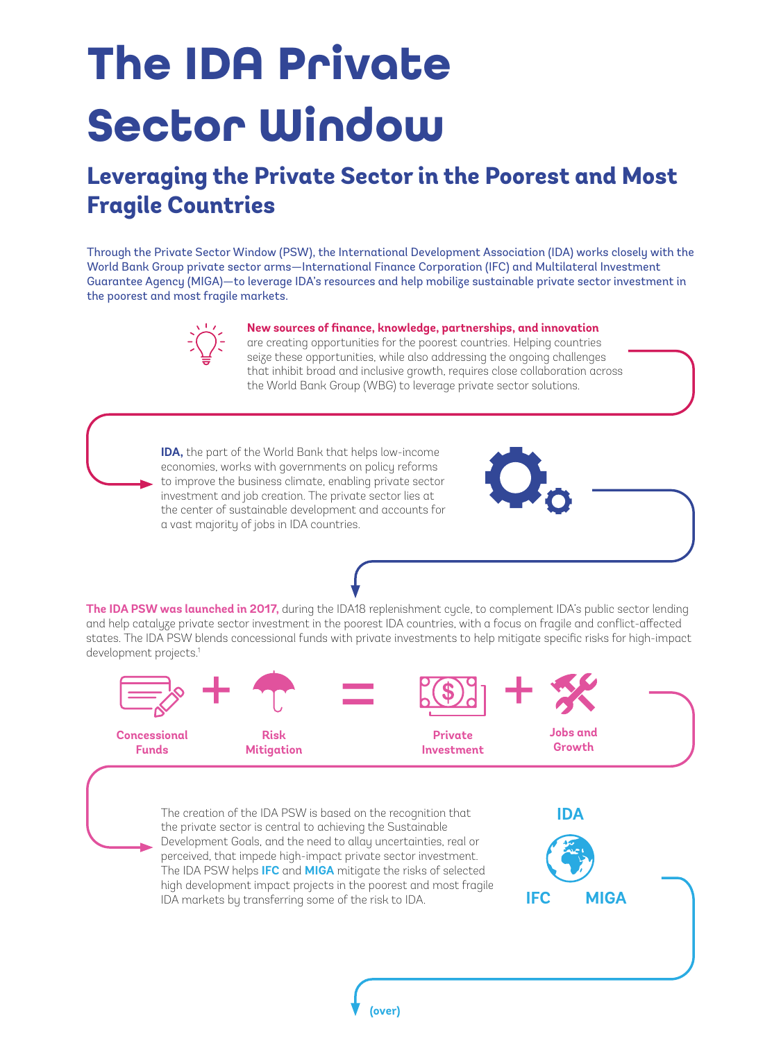## **The IDA Private Sector Window**

## **Leveraging the Private Sector in the Poorest and Most Fragile Countries**

Through the Private Sector Window (PSW), the International Development Association (IDA) works closely with the World Bank Group private sector arms—International Finance Corporation (IFC) and Multilateral Investment Guarantee Agency (MIGA)—to leverage IDA's resources and help mobilize sustainable private sector investment in the poorest and most fragile markets.



## **New sources of finance, knowledge, partnerships, and innovation**

are creating opportunities for the poorest countries. Helping countries seize these opportunities, while also addressing the ongoing challenges that inhibit broad and inclusive growth, requires close collaboration across the World Bank Group (WBG) to leverage private sector solutions.

**IDA,** the part of the World Bank that helps low-income economies, works with governments on policy reforms to improve the business climate, enabling private sector investment and job creation. The private sector lies at the center of sustainable development and accounts for a vast majority of jobs in IDA countries.



**The IDA PSW was launched in 2017,** during the IDA18 replenishment cycle, to complement IDA's public sector lending and help catalyze private sector investment in the poorest IDA countries, with a focus on fragile and conflict-affected states. The IDA PSW blends concessional funds with private investments to help mitigate specific risks for high-impact development projects.<sup>1</sup>



The creation of the IDA PSW is based on the recognition that the private sector is central to achieving the Sustainable Development Goals, and the need to allay uncertainties, real or perceived, that impede high-impact private sector investment. The IDA PSW helps **IFC** and **MIGA** mitigate the risks of selected high development impact projects in the poorest and most fragile IDA markets by transferring some of the risk to IDA. **IFC MIGA IDA**